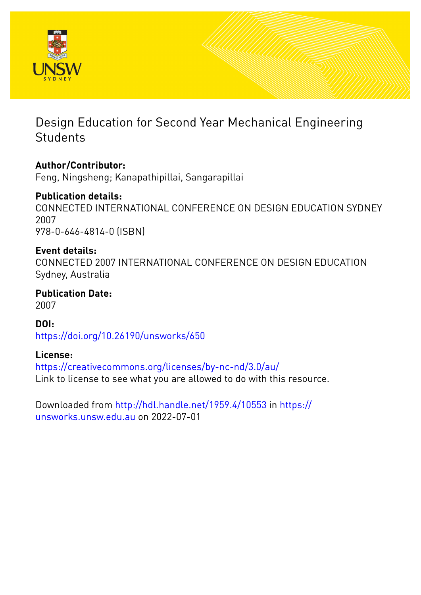

# Design Education for Second Year Mechanical Engineering **Students**

# **Author/Contributor:**

Feng, Ningsheng; Kanapathipillai, Sangarapillai

## **Publication details:**

CONNECTED INTERNATIONAL CONFERENCE ON DESIGN EDUCATION SYDNEY 2007 978-0-646-4814-0 (ISBN)

### **Event details:**

CONNECTED 2007 INTERNATIONAL CONFERENCE ON DESIGN EDUCATION Sydney, Australia

**Publication Date:** 2007

### **DOI:**

[https://doi.org/10.26190/unsworks/650](http://dx.doi.org/https://doi.org/10.26190/unsworks/650)

### **License:**

<https://creativecommons.org/licenses/by-nc-nd/3.0/au/> Link to license to see what you are allowed to do with this resource.

Downloaded from <http://hdl.handle.net/1959.4/10553> in [https://](https://unsworks.unsw.edu.au) [unsworks.unsw.edu.au](https://unsworks.unsw.edu.au) on 2022-07-01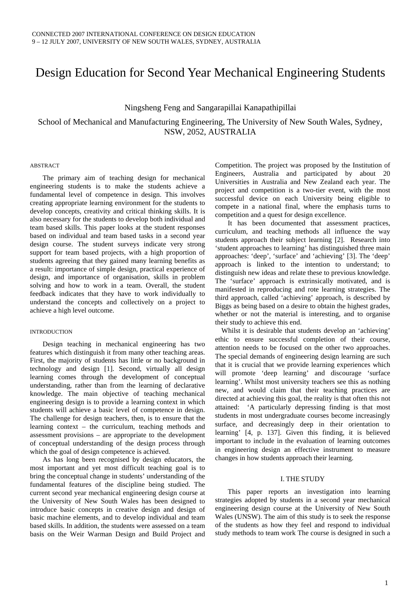### Design Education for Second Year Mechanical Engineering Students

#### Ningsheng Feng and Sangarapillai Kanapathipillai

### School of Mechanical and Manufacturing Engineering, The University of New South Wales, Sydney, NSW, 2052, AUSTRALIA

#### ABSTRACT

The primary aim of teaching design for mechanical engineering students is to make the students achieve a fundamental level of competence in design. This involves creating appropriate learning environment for the students to develop concepts, creativity and critical thinking skills. It is also necessary for the students to develop both individual and team based skills. This paper looks at the student responses based on individual and team based tasks in a second year design course. The student surveys indicate very strong support for team based projects, with a high proportion of students agreeing that they gained many learning benefits as a result: importance of simple design, practical experience of design, and importance of organisation, skills in problem solving and how to work in a team. Overall, the student feedback indicates that they have to work individually to understand the concepts and collectively on a project to achieve a high level outcome.

#### INTRODUCTION

Design teaching in mechanical engineering has two features which distinguish it from many other teaching areas. First, the majority of students has little or no background in technology and design [1]. Second, virtually all design learning comes through the development of conceptual understanding, rather than from the learning of declarative knowledge. The main objective of teaching mechanical engineering design is to provide a learning context in which students will achieve a basic level of competence in design. The challenge for design teachers, then, is to ensure that the learning context – the curriculum, teaching methods and assessment provisions – are appropriate to the development of conceptual understanding of the design process through which the goal of design competence is achieved.

As has long been recognised by design educators, the most important and yet most difficult teaching goal is to bring the conceptual change in students' understanding of the fundamental features of the discipline being studied. The current second year mechanical engineering design course at the University of New South Wales has been designed to introduce basic concepts in creative design and design of basic machine elements, and to develop individual and team based skills. In addition, the students were assessed on a team basis on the Weir Warman Design and Build Project and

Competition. The project was proposed by the Institution of Engineers, Australia and participated by about 20 Universities in Australia and New Zealand each year. The project and competition is a two-tier event, with the most successful device on each University being eligible to compete in a national final, where the emphasis turns to competition and a quest for design excellence.

It has been documented that assessment practices, curriculum, and teaching methods all influence the way students approach their subject learning [2]. Research into 'student approaches to learning' has distinguished three main approaches: 'deep', 'surface' and 'achieving' [3]. The 'deep' approach is linked to the intention to understand; to distinguish new ideas and relate these to previous knowledge. The 'surface' approach is extrinsically motivated, and is manifested in reproducing and rote learning strategies. The third approach, called 'achieving' approach, is described by Biggs as being based on a desire to obtain the highest grades, whether or not the material is interesting, and to organise their study to achieve this end.

 Whilst it is desirable that students develop an 'achieving' ethic to ensure successful completion of their course, attention needs to be focused on the other two approaches. The special demands of engineering design learning are such that it is crucial that we provide learning experiences which will promote 'deep learning' and discourage 'surface learning'. Whilst most university teachers see this as nothing new, and would claim that their teaching practices are directed at achieving this goal, the reality is that often this not attained: 'A particularly depressing finding is that most students in most undergraduate courses become increasingly surface, and decreasingly deep in their orientation to learning' [4, p. 137]. Given this finding, it is believed important to include in the evaluation of learning outcomes in engineering design an effective instrument to measure changes in how students approach their learning.

#### I. THE STUDY

This paper reports an investigation into learning strategies adopted by students in a second year mechanical engineering design course at the University of New South Wales (UNSW). The aim of this study is to seek the response of the students as how they feel and respond to individual study methods to team work The course is designed in such a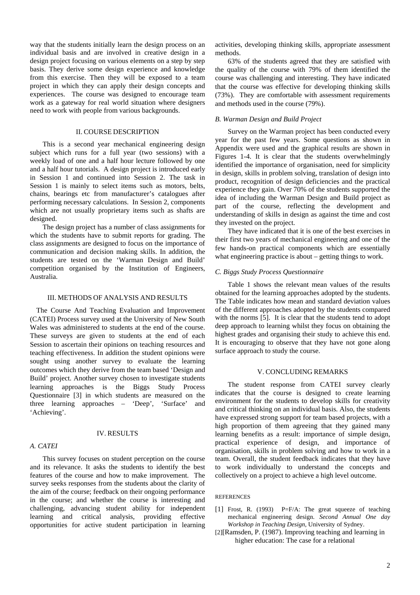way that the students initially learn the design process on an individual basis and are involved in creative design in a design project focusing on various elements on a step by step basis. They derive some design experience and knowledge from this exercise. Then they will be exposed to a team project in which they can apply their design concepts and experiences. The course was designed to encourage team work as a gateway for real world situation where designers need to work with people from various backgrounds.

#### II. COURSE DESCRIPTION

This is a second year mechanical engineering design subject which runs for a full year (two sessions) with a weekly load of one and a half hour lecture followed by one and a half hour tutorials. A design project is introduced early in Session 1 and continued into Session 2. The task in Session 1 is mainly to select items such as motors, belts, chains, bearings etc from manufacturer's catalogues after performing necessary calculations. In Session 2, components which are not usually proprietary items such as shafts are designed.

The design project has a number of class assignments for which the students have to submit reports for grading. The class assignments are designed to focus on the importance of communication and decision making skills. In addition, the students are tested on the 'Warman Design and Build' competition organised by the Institution of Engineers, Australia.

#### III. METHODS OF ANALYSIS AND RESULTS

The Course And Teaching Evaluation and Improvement (CATEI) Process survey used at the University of New South Wales was administered to students at the end of the course. These surveys are given to students at the end of each Session to ascertain their opinions on teaching resources and teaching effectiveness. In addition the student opinions were sought using another survey to evaluate the learning outcomes which they derive from the team based 'Design and Build' project. Another survey chosen to investigate students learning approaches is the Biggs Study Process Questionnaire [3] in which students are measured on the three learning approaches – 'Deep', 'Surface' and 'Achieving'.

#### IV. RESULTS

#### *A. CATEI*

This survey focuses on student perception on the course and its relevance. It asks the students to identify the best features of the course and how to make improvement. The survey seeks responses from the students about the clarity of the aim of the course; feedback on their ongoing performance in the course; and whether the course is interesting and challenging, advancing student ability for independent learning and critical analysis, providing effective opportunities for active student participation in learning

activities, developing thinking skills, appropriate assessment methods.

63% of the students agreed that they are satisfied with the quality of the course with 79% of them identified the course was challenging and interesting. They have indicated that the course was effective for developing thinking skills (73%). They are comfortable with assessment requirements and methods used in the course (79%).

#### *B. Warman Design and Build Project*

Survey on the Warman project has been conducted every year for the past few years. Some questions as shown in Appendix were used and the graphical results are shown in Figures 1-4. It is clear that the students overwhelmingly identified the importance of organisation, need for simplicity in design, skills in problem solving, translation of design into product, recognition of design deficiencies and the practical experience they gain. Over 70% of the students supported the idea of including the Warman Design and Build project as part of the course, reflecting the development and understanding of skills in design as against the time and cost they invested on the project.

They have indicated that it is one of the best exercises in their first two years of mechanical engineering and one of the few hands-on practical components which are essentially what engineering practice is about – getting things to work.

#### *C. Biggs Study Process Questionnaire*

Table 1 shows the relevant mean values of the results obtained for the learning approaches adopted by the students. The Table indicates how mean and standard deviation values of the different approaches adopted by the students compared with the norms [5]. It is clear that the students tend to adopt deep approach to learning whilst they focus on obtaining the highest grades and organising their study to achieve this end. It is encouraging to observe that they have not gone along surface approach to study the course.

#### V. CONCLUDING REMARKS

The student response from CATEI survey clearly indicates that the course is designed to create learning environment for the students to develop skills for creativity and critical thinking on an individual basis. Also, the students have expressed strong support for team based projects, with a high proportion of them agreeing that they gained many learning benefits as a result: importance of simple design, practical experience of design, and importance of organisation, skills in problem solving and how to work in a team. Overall, the student feedback indicates that they have to work individually to understand the concepts and collectively on a project to achieve a high level outcome.

#### REFERENCES

- [1] Frost, R. (1993) P=F/A: The great squeeze of teaching mechanical engineering design. *Second Annual One day Workshop in Teaching Design,* University of Sydney.
- [2][Ramsden, P. (1987). Improving teaching and learning in higher education: The case for a relational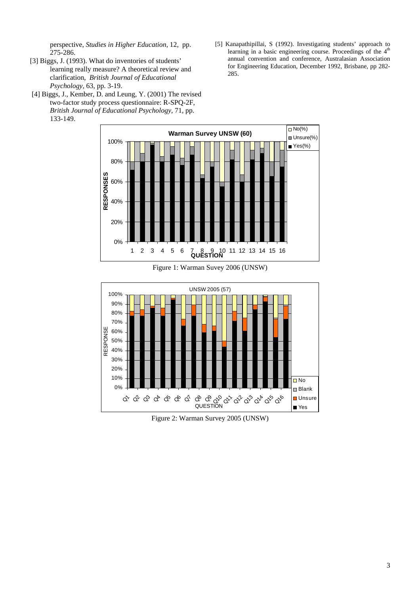perspective, *Studies in Higher Education,* 12, pp. 275-286.

- [3] Biggs, J. (1993). What do inventories of students' learning really measure? A theoretical review and clarification, *British Journal of Educational Psychology,* 63, pp. 3-19.
- [4] Biggs, J., Kember, D. and Leung, Y. (2001) The revised two-factor study process questionnaire: R-SPQ-2F, *British Journal of Educational Psychology,* 71, pp. 133-149.
- [5] Kanapathipillai, S (1992). Investigating students' approach to learning in a basic engineering course. Proceedings of the 4<sup>th</sup> annual convention and conference, Australasian Association for Engineering Education, December 1992, Brisbane, pp 282- 285.



Figure 1: Warman Suvey 2006 (UNSW)



Figure 2: Warman Survey 2005 (UNSW)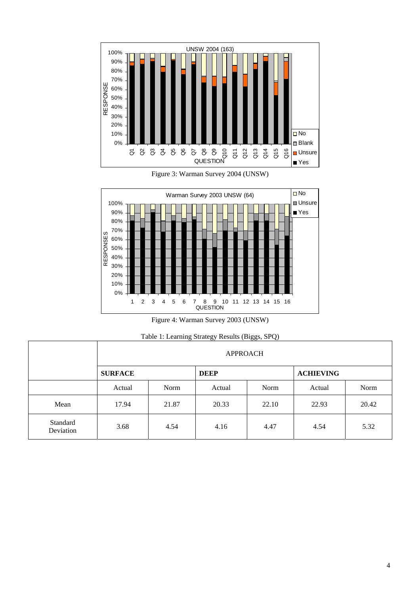

Figure 3: Warman Survey 2004 (UNSW)



Figure 4: Warman Survey 2003 (UNSW)

| Table 1: Learning Strategy Results (Biggs, SPQ) |
|-------------------------------------------------|
|-------------------------------------------------|

|                       | <b>APPROACH</b> |       |             |       |                  |       |
|-----------------------|-----------------|-------|-------------|-------|------------------|-------|
|                       | <b>SURFACE</b>  |       | <b>DEEP</b> |       | <b>ACHIEVING</b> |       |
|                       | Actual          | Norm  | Actual      | Norm  | Actual           | Norm  |
| Mean                  | 17.94           | 21.87 | 20.33       | 22.10 | 22.93            | 20.42 |
| Standard<br>Deviation | 3.68            | 4.54  | 4.16        | 4.47  | 4.54             | 5.32  |